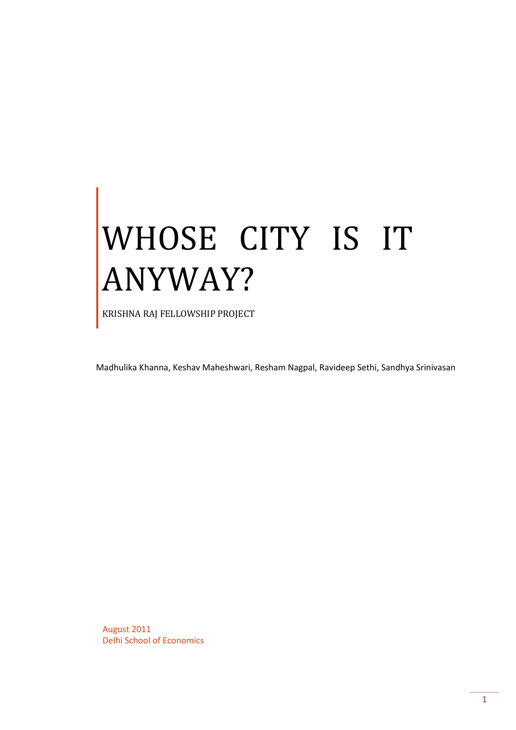# WHOSE CITY IS IT ANYWAY?

KRISHNA RAJ FELLOWSHIP PROJECT

Madhulika Khanna, Keshav Maheshwari, Resham Nagpal, Ravideep Sethi, Sandhya Srinivasan

August 2011 Delhi School of Economics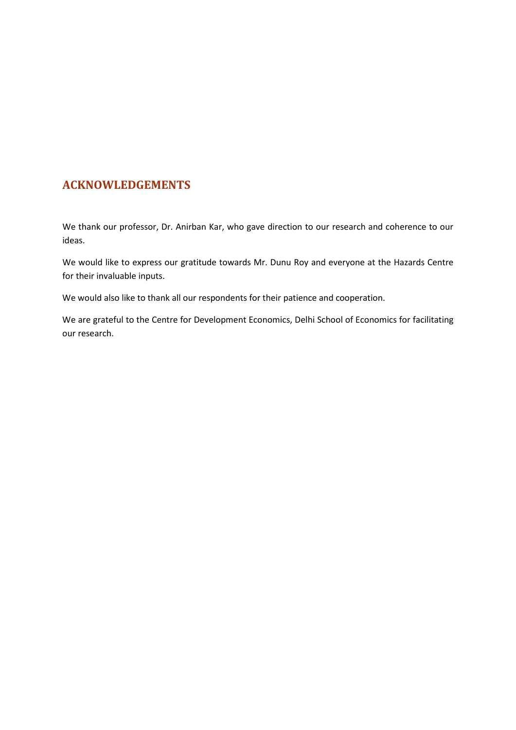# **ACKNOWLEDGEMENTS**

We thank our professor, Dr. Anirban Kar, who gave direction to our research and coherence to our ideas.

We would like to express our gratitude towards Mr. Dunu Roy and everyone at the Hazards Centre for their invaluable inputs.

We would also like to thank all our respondents for their patience and cooperation.

We are grateful to the Centre for Development Economics, Delhi School of Economics for facilitating our research.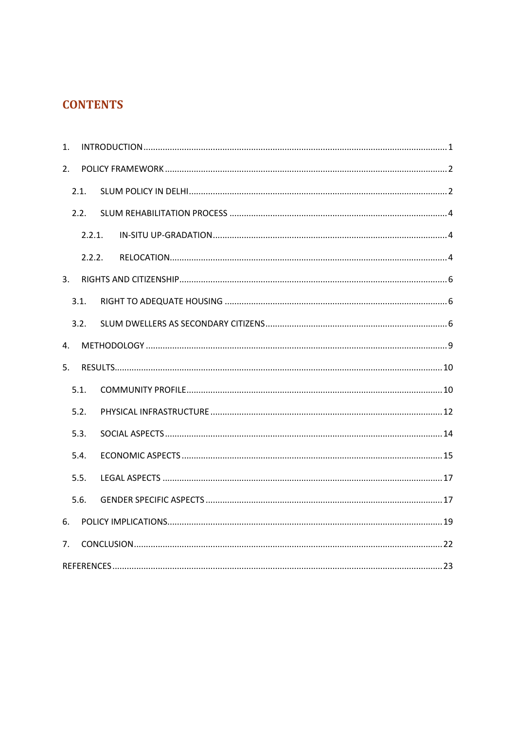# **CONTENTS**

| 1. |        |  |
|----|--------|--|
| 2. |        |  |
|    | 2.1.   |  |
|    | 2.2.   |  |
|    | 2.2.1. |  |
|    | 2.2.2. |  |
| 3. |        |  |
|    | 3.1.   |  |
|    | 3.2.   |  |
| 4. |        |  |
| 5. |        |  |
|    | 5.1.   |  |
|    | 5.2.   |  |
|    | 5.3.   |  |
|    | 5.4.   |  |
|    | 5.5.   |  |
|    | 5.6.   |  |
| 6. |        |  |
| 7. |        |  |
|    |        |  |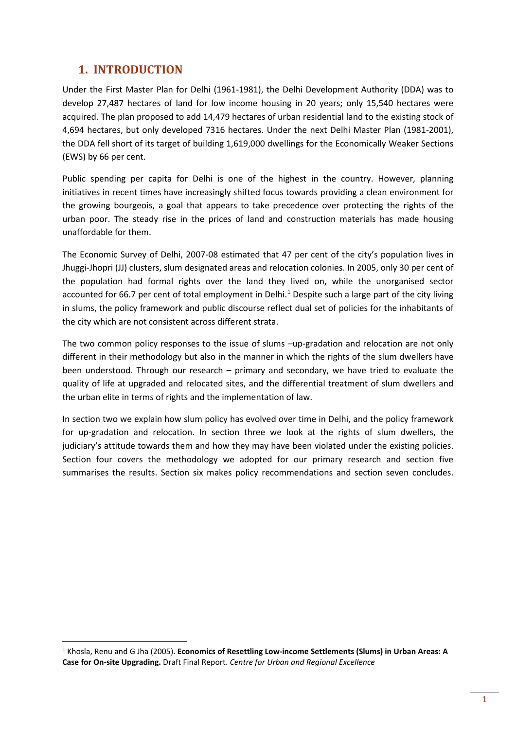# <span id="page-3-0"></span>**1. INTRODUCTION**

Under the First Master Plan for Delhi (1961-1981), the Delhi Development Authority (DDA) was to develop 27,487 hectares of land for low income housing in 20 years; only 15,540 hectares were acquired. The plan proposed to add 14,479 hectares of urban residential land to the existing stock of 4,694 hectares, but only developed 7316 hectares. Under the next Delhi Master Plan (1981-2001), the DDA fell short of its target of building 1,619,000 dwellings for the Economically Weaker Sections (EWS) by 66 per cent.

Public spending per capita for Delhi is one of the highest in the country. However, planning initiatives in recent times have increasingly shifted focus towards providing a clean environment for the growing bourgeois, a goal that appears to take precedence over protecting the rights of the urban poor. The steady rise in the prices of land and construction materials has made housing unaffordable for them.

The Economic Survey of Delhi, 2007-08 estimated that 47 per cent of the city's population lives in Jhuggi-Jhopri (JJ) clusters, slum designated areas and relocation colonies. In 2005, only 30 per cent of the population had formal rights over the land they lived on, while the unorganised sector accounted for 66.7 per cent of total employment in Delhi.<sup>[1](#page-3-1)</sup> Despite such a large part of the city living in slums, the policy framework and public discourse reflect dual set of policies for the inhabitants of the city which are not consistent across different strata.

The two common policy responses to the issue of slums –up-gradation and relocation are not only different in their methodology but also in the manner in which the rights of the slum dwellers have been understood. Through our research – primary and secondary, we have tried to evaluate the quality of life at upgraded and relocated sites, and the differential treatment of slum dwellers and the urban elite in terms of rights and the implementation of law.

In section two we explain how slum policy has evolved over time in Delhi, and the policy framework for up-gradation and relocation. In section three we look at the rights of slum dwellers, the judiciary's attitude towards them and how they may have been violated under the existing policies. Section four covers the methodology we adopted for our primary research and section five summarises the results. Section six makes policy recommendations and section seven concludes.

<span id="page-3-1"></span> <sup>1</sup> Khosla, Renu and G Jha (2005). **Economics of Resettling Low-income Settlements (Slums) in Urban Areas: A Case for On-site Upgrading.** Draft Final Report. *Centre for Urban and Regional Excellence*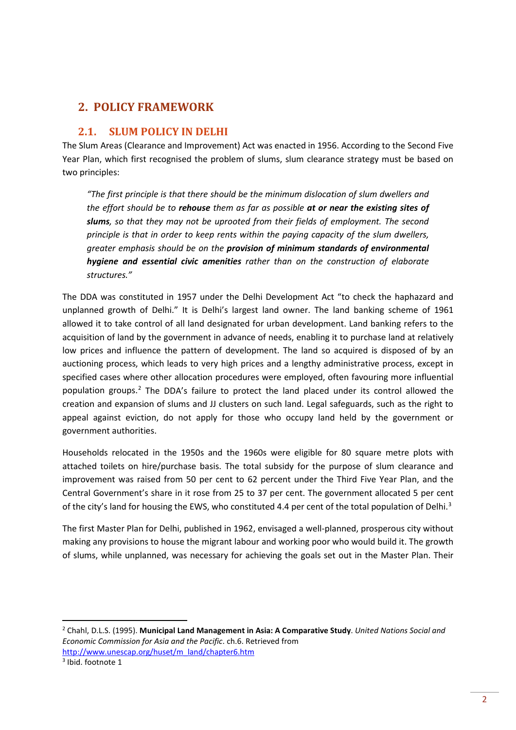# <span id="page-4-0"></span>**2. POLICY FRAMEWORK**

## <span id="page-4-1"></span>**2.1. SLUM POLICY IN DELHI**

The Slum Areas (Clearance and Improvement) Act was enacted in 1956. According to the Second Five Year Plan, which first recognised the problem of slums, slum clearance strategy must be based on two principles:

*"The first principle is that there should be the minimum dislocation of slum dwellers and the effort should be to rehouse them as far as possible at or near the existing sites of slums, so that they may not be uprooted from their fields of employment. The second principle is that in order to keep rents within the paying capacity of the slum dwellers, greater emphasis should be on the provision of minimum standards of environmental hygiene and essential civic amenities rather than on the construction of elaborate structures."*

The DDA was constituted in 1957 under the Delhi Development Act "to check the haphazard and unplanned growth of Delhi." It is Delhi's largest land owner. The land banking scheme of 1961 allowed it to take control of all land designated for urban development. Land banking refers to the acquisition of land by the government in advance of needs, enabling it to purchase land at relatively low prices and influence the pattern of development. The land so acquired is disposed of by an auctioning process, which leads to very high prices and a lengthy administrative process, except in specified cases where other allocation procedures were employed, often favouring more influential population groups[.2](#page-4-2) The DDA's failure to protect the land placed under its control allowed the creation and expansion of slums and JJ clusters on such land. Legal safeguards, such as the right to appeal against eviction, do not apply for those who occupy land held by the government or government authorities.

Households relocated in the 1950s and the 1960s were eligible for 80 square metre plots with attached toilets on hire/purchase basis. The total subsidy for the purpose of slum clearance and improvement was raised from 50 per cent to 62 percent under the Third Five Year Plan, and the Central Government's share in it rose from 25 to 37 per cent. The government allocated 5 per cent of the city's land for housing the EWS, who constituted 4.4 per cent of the total population of Delhi.<sup>[3](#page-4-3)</sup>

The first Master Plan for Delhi, published in 1962, envisaged a well-planned, prosperous city without making any provisions to house the migrant labour and working poor who would build it. The growth of slums, while unplanned, was necessary for achieving the goals set out in the Master Plan. Their

<span id="page-4-2"></span> <sup>2</sup> Chahl, D.L.S. (1995). **Municipal Land Management in Asia: A Comparative Study**. *United Nations Social and Economic Commission for Asia and the Pacific*. ch.6. Retrieved from [http://www.unescap.org/huset/m\\_land/chapter6.htm](http://www.unescap.org/huset/m_land/chapter6.htm)

<span id="page-4-3"></span><sup>3</sup> Ibid. footnote 1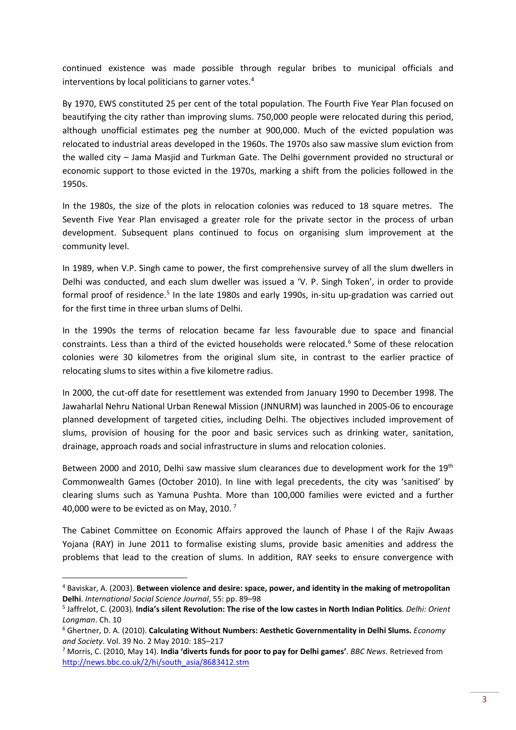continued existence was made possible through regular bribes to municipal officials and interventions by local politicians to garner votes.<sup>[4](#page-5-0)</sup>

By 1970, EWS constituted 25 per cent of the total population. The Fourth Five Year Plan focused on beautifying the city rather than improving slums. 750,000 people were relocated during this period, although unofficial estimates peg the number at 900,000. Much of the evicted population was relocated to industrial areas developed in the 1960s. The 1970s also saw massive slum eviction from the walled city – Jama Masjid and Turkman Gate. The Delhi government provided no structural or economic support to those evicted in the 1970s, marking a shift from the policies followed in the 1950s.

In the 1980s, the size of the plots in relocation colonies was reduced to 18 square metres. The Seventh Five Year Plan envisaged a greater role for the private sector in the process of urban development. Subsequent plans continued to focus on organising slum improvement at the community level.

In 1989, when V.P. Singh came to power, the first comprehensive survey of all the slum dwellers in Delhi was conducted, and each slum dweller was issued a 'V. P. Singh Token', in order to provide formal proof of residence.<sup>[5](#page-5-1)</sup> In the late 1980s and early 1990s, in-situ up-gradation was carried out for the first time in three urban slums of Delhi.

In the 1990s the terms of relocation became far less favourable due to space and financial constraints. Less than a third of the evicted households were relocated.<sup>[6](#page-5-2)</sup> Some of these relocation colonies were 30 kilometres from the original slum site, in contrast to the earlier practice of relocating slums to sites within a five kilometre radius.

In 2000, the cut-off date for resettlement was extended from January 1990 to December 1998. The Jawaharlal Nehru National Urban Renewal Mission (JNNURM) was launched in 2005-06 to encourage planned development of targeted cities, including Delhi. The objectives included improvement of slums, provision of housing for the poor and basic services such as drinking water, sanitation, drainage, approach roads and social infrastructure in slums and relocation colonies.

Between 2000 and 2010, Delhi saw massive slum clearances due to development work for the 19<sup>th</sup> Commonwealth Games (October 2010). In line with legal precedents, the city was 'sanitised' by clearing slums such as Yamuna Pushta. More than 100,000 families were evicted and a further 40,000 were to be evicted as on May, 2010.<sup>[7](#page-5-3)</sup>

The Cabinet Committee on Economic Affairs approved the launch of Phase I of the Rajiv Awaas Yojana (RAY) in June 2011 to formalise existing slums, provide basic amenities and address the problems that lead to the creation of slums. In addition, RAY seeks to ensure convergence with

<span id="page-5-0"></span> <sup>4</sup> Baviskar, A. (2003). **Between violence and desire: space, power, and identity in the making of metropolitan Delhi**. *International Social Science Journal*, 55: pp. 89–98

<span id="page-5-1"></span><sup>5</sup> Jaffrelot, C. (2003)*.* **India's silent Revolution: The rise of the low castes in North Indian Politics***. Delhi: Orient Longman*. Ch. 10

<span id="page-5-2"></span><sup>6</sup> Ghertner, D. A. (2010). **Calculating Without Numbers: Aesthetic Governmentality in Delhi Slums.** *Economy and Society*. Vol. 39 No. 2 May 2010: 185–217

<span id="page-5-3"></span><sup>7</sup> Morris, C. (2010, May 14). **India 'diverts funds for poor to pay for Delhi games'**. *BBC News*. Retrieved from [http://news.bbc.co.uk/2/hi/south\\_asia/8683412.stm](http://news.bbc.co.uk/2/hi/south_asia/8683412.stm)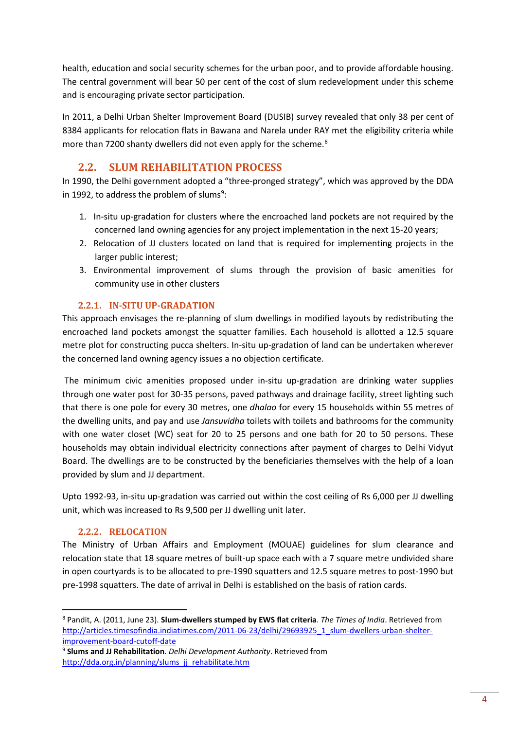health, education and social security schemes for the urban poor, and to provide affordable housing. The central government will bear 50 per cent of the cost of slum redevelopment under this scheme and is encouraging private sector participation.

In 2011, a Delhi Urban Shelter Improvement Board (DUSIB) survey revealed that only 38 per cent of 8384 applicants for relocation flats in Bawana and Narela under RAY met the eligibility criteria while more than 7200 shanty dwellers did not even apply for the scheme.<sup>[8](#page-6-3)</sup>

# **2.2. SLUM REHABILITATION PROCESS**

<span id="page-6-0"></span>In 1990, the Delhi government adopted a "three-pronged strategy", which was approved by the DDA in 1[9](#page-6-4)92, to address the problem of slums<sup>9</sup>:

- 1. In-situ up-gradation for clusters where the encroached land pockets are not required by the concerned land owning agencies for any project implementation in the next 15-20 years;
- 2. Relocation of JJ clusters located on land that is required for implementing projects in the larger public interest;
- 3. Environmental improvement of slums through the provision of basic amenities for community use in other clusters

## **2.2.1. IN-SITU UP-GRADATION**

<span id="page-6-1"></span>This approach envisages the re-planning of slum dwellings in modified layouts by redistributing the encroached land pockets amongst the squatter families. Each household is allotted a 12.5 square metre plot for constructing pucca shelters. In-situ up-gradation of land can be undertaken wherever the concerned land owning agency issues a no objection certificate.

The minimum civic amenities proposed under in-situ up-gradation are drinking water supplies through one water post for 30-35 persons, paved pathways and drainage facility, street lighting such that there is one pole for every 30 metres, one *dhalao* for every 15 households within 55 metres of the dwelling units, and pay and use *Jansuvidha* toilets with toilets and bathrooms for the community with one water closet (WC) seat for 20 to 25 persons and one bath for 20 to 50 persons. These households may obtain individual electricity connections after payment of charges to Delhi Vidyut Board. The dwellings are to be constructed by the beneficiaries themselves with the help of a loan provided by slum and JJ department.

Upto 1992-93, in-situ up-gradation was carried out within the cost ceiling of Rs 6,000 per JJ dwelling unit, which was increased to Rs 9,500 per JJ dwelling unit later.

## **2.2.2. RELOCATION**

<span id="page-6-2"></span>The Ministry of Urban Affairs and Employment (MOUAE) guidelines for slum clearance and relocation state that 18 square metres of built-up space each with a 7 square metre undivided share in open courtyards is to be allocated to pre-1990 squatters and 12.5 square metres to post-1990 but pre-1998 squatters. The date of arrival in Delhi is established on the basis of ration cards.

<span id="page-6-3"></span> <sup>8</sup> Pandit, A. (2011, June 23). **Slum-dwellers stumped by EWS flat criteria**. *The Times of India*. Retrieved from [http://articles.timesofindia.indiatimes.com/2011-06-23/delhi/29693925\\_1\\_slum-dwellers-urban-shelter](http://articles.timesofindia.indiatimes.com/2011-06-23/delhi/29693925_1_slum-dwellers-urban-shelter-improvement-board-cutoff-date)[improvement-board-cutoff-date](http://articles.timesofindia.indiatimes.com/2011-06-23/delhi/29693925_1_slum-dwellers-urban-shelter-improvement-board-cutoff-date)

<span id="page-6-4"></span><sup>9</sup> **Slums and JJ Rehabilitation**. *Delhi Development Authority*. Retrieved from [http://dda.org.in/planning/slums\\_jj\\_rehabilitate.htm](http://dda.org.in/planning/slums_jj_rehabilitate.htm)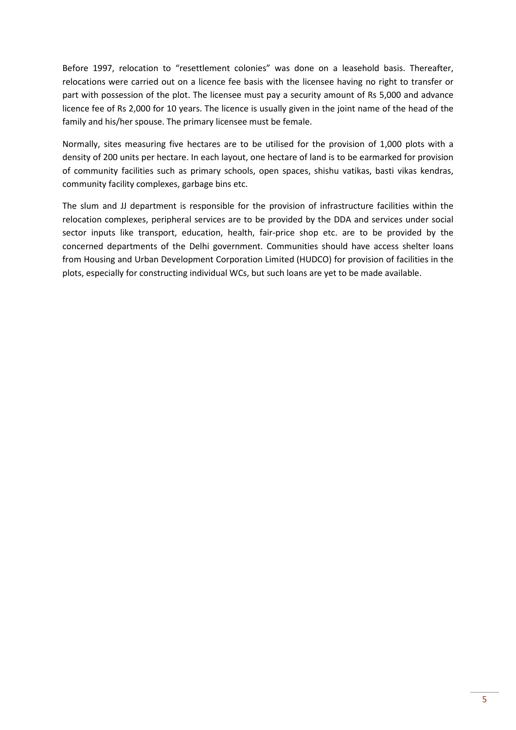Before 1997, relocation to "resettlement colonies" was done on a leasehold basis. Thereafter, relocations were carried out on a licence fee basis with the licensee having no right to transfer or part with possession of the plot. The licensee must pay a security amount of Rs 5,000 and advance licence fee of Rs 2,000 for 10 years. The licence is usually given in the joint name of the head of the family and his/her spouse. The primary licensee must be female.

Normally, sites measuring five hectares are to be utilised for the provision of 1,000 plots with a density of 200 units per hectare. In each layout, one hectare of land is to be earmarked for provision of community facilities such as primary schools, open spaces, shishu vatikas, basti vikas kendras, community facility complexes, garbage bins etc.

The slum and JJ department is responsible for the provision of infrastructure facilities within the relocation complexes, peripheral services are to be provided by the DDA and services under social sector inputs like transport, education, health, fair-price shop etc. are to be provided by the concerned departments of the Delhi government. Communities should have access shelter loans from Housing and Urban Development Corporation Limited (HUDCO) for provision of facilities in the plots, especially for constructing individual WCs, but such loans are yet to be made available.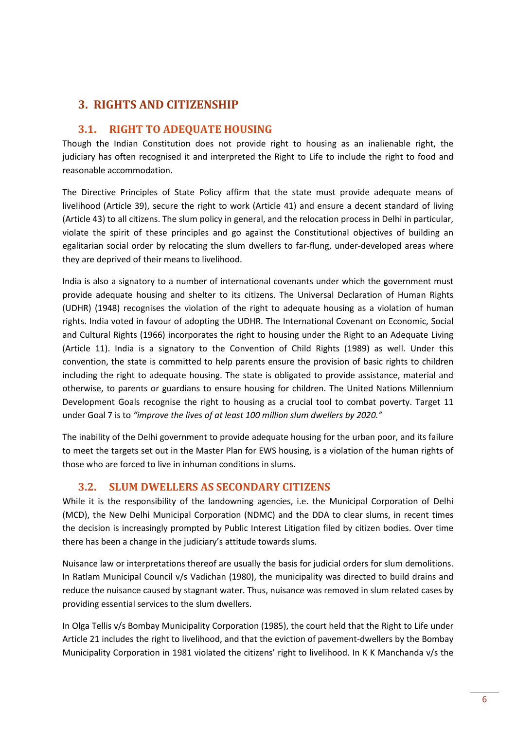# <span id="page-8-0"></span>**3. RIGHTS AND CITIZENSHIP**

## <span id="page-8-1"></span>**3.1. RIGHT TO ADEQUATE HOUSING**

Though the Indian Constitution does not provide right to housing as an inalienable right, the judiciary has often recognised it and interpreted the Right to Life to include the right to food and reasonable accommodation.

The Directive Principles of State Policy affirm that the state must provide adequate means of livelihood (Article 39), secure the right to work (Article 41) and ensure a decent standard of living (Article 43) to all citizens. The slum policy in general, and the relocation process in Delhi in particular, violate the spirit of these principles and go against the Constitutional objectives of building an egalitarian social order by relocating the slum dwellers to far-flung, under-developed areas where they are deprived of their means to livelihood.

India is also a signatory to a number of international covenants under which the government must provide adequate housing and shelter to its citizens. The Universal Declaration of Human Rights (UDHR) (1948) recognises the violation of the right to adequate housing as a violation of human rights. India voted in favour of adopting the UDHR. The International Covenant on Economic, Social and Cultural Rights (1966) incorporates the right to housing under the Right to an Adequate Living (Article 11). India is a signatory to the Convention of Child Rights (1989) as well. Under this convention, the state is committed to help parents ensure the provision of basic rights to children including the right to adequate housing. The state is obligated to provide assistance, material and otherwise, to parents or guardians to ensure housing for children. The United Nations Millennium Development Goals recognise the right to housing as a crucial tool to combat poverty. Target 11 under Goal 7 is to *"improve the lives of at least 100 million slum dwellers by 2020."* 

The inability of the Delhi government to provide adequate housing for the urban poor, and its failure to meet the targets set out in the Master Plan for EWS housing, is a violation of the human rights of those who are forced to live in inhuman conditions in slums.

## **3.2. SLUM DWELLERS AS SECONDARY CITIZENS**

<span id="page-8-2"></span>While it is the responsibility of the landowning agencies, i.e. the Municipal Corporation of Delhi (MCD), the New Delhi Municipal Corporation (NDMC) and the DDA to clear slums, in recent times the decision is increasingly prompted by Public Interest Litigation filed by citizen bodies. Over time there has been a change in the judiciary's attitude towards slums.

Nuisance law or interpretations thereof are usually the basis for judicial orders for slum demolitions. In Ratlam Municipal Council v/s Vadichan (1980), the municipality was directed to build drains and reduce the nuisance caused by stagnant water. Thus, nuisance was removed in slum related cases by providing essential services to the slum dwellers.

In Olga Tellis v/s Bombay Municipality Corporation (1985), the court held that the Right to Life under Article 21 includes the right to livelihood, and that the eviction of pavement-dwellers by the Bombay Municipality Corporation in 1981 violated the citizens' right to livelihood. In K K Manchanda v/s the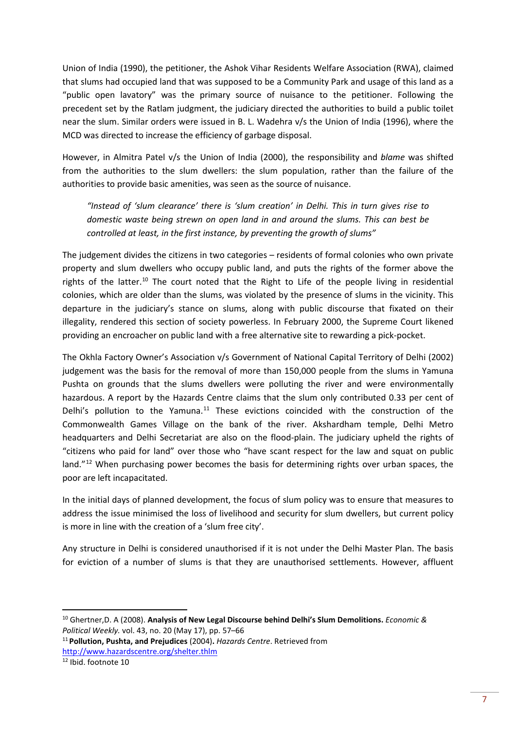Union of India (1990), the petitioner, the Ashok Vihar Residents Welfare Association (RWA), claimed that slums had occupied land that was supposed to be a Community Park and usage of this land as a "public open lavatory" was the primary source of nuisance to the petitioner. Following the precedent set by the Ratlam judgment, the judiciary directed the authorities to build a public toilet near the slum. Similar orders were issued in B. L. Wadehra v/s the Union of India (1996), where the MCD was directed to increase the efficiency of garbage disposal.

However, in Almitra Patel v/s the Union of India (2000), the responsibility and *blame* was shifted from the authorities to the slum dwellers: the slum population, rather than the failure of the authorities to provide basic amenities, was seen as the source of nuisance.

*"Instead of 'slum clearance' there is 'slum creation' in Delhi. This in turn gives rise to domestic waste being strewn on open land in and around the slums. This can best be controlled at least, in the first instance, by preventing the growth of slums"*

The judgement divides the citizens in two categories – residents of formal colonies who own private property and slum dwellers who occupy public land, and puts the rights of the former above the rights of the latter.<sup>[10](#page-9-0)</sup> The court noted that the Right to Life of the people living in residential colonies, which are older than the slums, was violated by the presence of slums in the vicinity. This departure in the judiciary's stance on slums, along with public discourse that fixated on their illegality, rendered this section of society powerless. In February 2000, the Supreme Court likened providing an encroacher on public land with a free alternative site to rewarding a pick-pocket.

The Okhla Factory Owner's Association v/s Government of National Capital Territory of Delhi (2002) judgement was the basis for the removal of more than 150,000 people from the slums in Yamuna Pushta on grounds that the slums dwellers were polluting the river and were environmentally hazardous. A report by the Hazards Centre claims that the slum only contributed 0.33 per cent of Delhi's pollution to the Yamuna.<sup>[11](#page-9-1)</sup> These evictions coincided with the construction of the Commonwealth Games Village on the bank of the river. Akshardham temple, Delhi Metro headquarters and Delhi Secretariat are also on the flood-plain. The judiciary upheld the rights of "citizens who paid for land" over those who "have scant respect for the law and squat on public land."<sup>[12](#page-9-2)</sup> When purchasing power becomes the basis for determining rights over urban spaces, the poor are left incapacitated.

In the initial days of planned development, the focus of slum policy was to ensure that measures to address the issue minimised the loss of livelihood and security for slum dwellers, but current policy is more in line with the creation of a 'slum free city'.

Any structure in Delhi is considered unauthorised if it is not under the Delhi Master Plan. The basis for eviction of a number of slums is that they are unauthorised settlements. However, affluent

<span id="page-9-1"></span><sup>11</sup> **Pollution, Pushta, and Prejudices** (2004)**.** *Hazards Centre*. Retrieved from <http://www.hazardscentre.org/shelter.thlm>

<span id="page-9-2"></span><sup>12</sup> Ibid. footnote 10

<span id="page-9-0"></span> <sup>10</sup> Ghertner,D. A (2008). **Analysis of New Legal Discourse behind Delhi's Slum Demolitions.** *Economic & Political Weekly.* vol. 43, no. 20 (May 17), pp. 57–66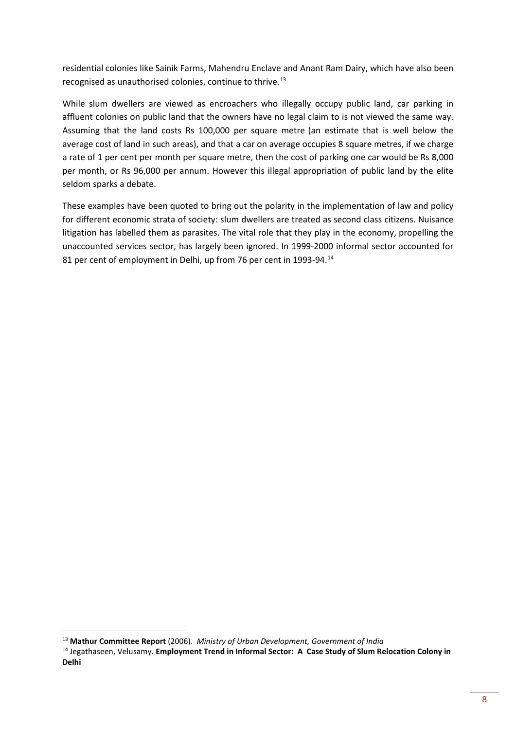residential colonies like Sainik Farms, Mahendru Enclave and Anant Ram Dairy, which have also been recognised as unauthorised colonies, continue to thrive.[13](#page-10-0)

While slum dwellers are viewed as encroachers who illegally occupy public land, car parking in affluent colonies on public land that the owners have no legal claim to is not viewed the same way. Assuming that the land costs Rs 100,000 per square metre (an estimate that is well below the average cost of land in such areas), and that a car on average occupies 8 square metres, if we charge a rate of 1 per cent per month per square metre, then the cost of parking one car would be Rs 8,000 per month, or Rs 96,000 per annum. However this illegal appropriation of public land by the elite seldom sparks a debate.

These examples have been quoted to bring out the polarity in the implementation of law and policy for different economic strata of society: slum dwellers are treated as second class citizens. Nuisance litigation has labelled them as parasites. The vital role that they play in the economy, propelling the unaccounted services sector, has largely been ignored. In 1999-2000 informal sector accounted for 81 per cent of employment in Delhi, up from 76 per cent in 1993-94.<sup>[14](#page-10-1)</sup>

<span id="page-10-0"></span> <sup>13</sup> **Mathur Committee Report** (2006). *Ministry of Urban Development, Government of India*

<span id="page-10-1"></span><sup>14</sup> Jegathaseen, Velusamy. **Employment Trend in Informal Sector: A Case Study of Slum Relocation Colony in Delhi**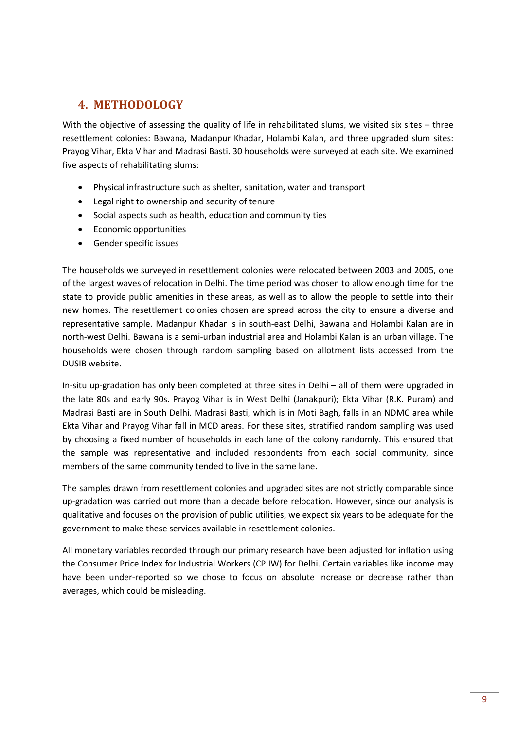# <span id="page-11-0"></span>**4. METHODOLOGY**

With the objective of assessing the quality of life in rehabilitated slums, we visited six sites – three resettlement colonies: Bawana, Madanpur Khadar, Holambi Kalan, and three upgraded slum sites: Prayog Vihar, Ekta Vihar and Madrasi Basti. 30 households were surveyed at each site. We examined five aspects of rehabilitating slums:

- Physical infrastructure such as shelter, sanitation, water and transport
- Legal right to ownership and security of tenure
- Social aspects such as health, education and community ties
- Economic opportunities
- Gender specific issues

The households we surveyed in resettlement colonies were relocated between 2003 and 2005, one of the largest waves of relocation in Delhi. The time period was chosen to allow enough time for the state to provide public amenities in these areas, as well as to allow the people to settle into their new homes. The resettlement colonies chosen are spread across the city to ensure a diverse and representative sample. Madanpur Khadar is in south-east Delhi, Bawana and Holambi Kalan are in north-west Delhi. Bawana is a semi-urban industrial area and Holambi Kalan is an urban village. The households were chosen through random sampling based on allotment lists accessed from the DUSIB website.

In-situ up-gradation has only been completed at three sites in Delhi – all of them were upgraded in the late 80s and early 90s. Prayog Vihar is in West Delhi (Janakpuri); Ekta Vihar (R.K. Puram) and Madrasi Basti are in South Delhi. Madrasi Basti, which is in Moti Bagh, falls in an NDMC area while Ekta Vihar and Prayog Vihar fall in MCD areas. For these sites, stratified random sampling was used by choosing a fixed number of households in each lane of the colony randomly. This ensured that the sample was representative and included respondents from each social community, since members of the same community tended to live in the same lane.

The samples drawn from resettlement colonies and upgraded sites are not strictly comparable since up-gradation was carried out more than a decade before relocation. However, since our analysis is qualitative and focuses on the provision of public utilities, we expect six years to be adequate for the government to make these services available in resettlement colonies.

All monetary variables recorded through our primary research have been adjusted for inflation using the Consumer Price Index for Industrial Workers (CPIIW) for Delhi. Certain variables like income may have been under-reported so we chose to focus on absolute increase or decrease rather than averages, which could be misleading.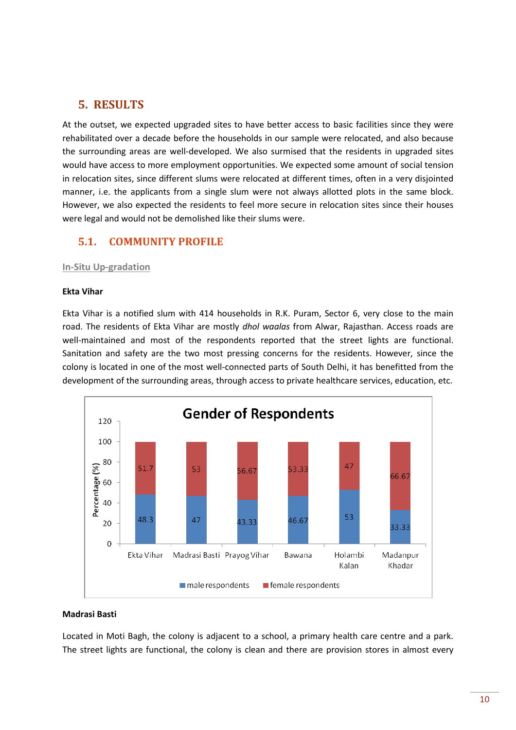# <span id="page-12-0"></span>**5. RESULTS**

At the outset, we expected upgraded sites to have better access to basic facilities since they were rehabilitated over a decade before the households in our sample were relocated, and also because the surrounding areas are well-developed. We also surmised that the residents in upgraded sites would have access to more employment opportunities. We expected some amount of social tension in relocation sites, since different slums were relocated at different times, often in a very disjointed manner, i.e. the applicants from a single slum were not always allotted plots in the same block. However, we also expected the residents to feel more secure in relocation sites since their houses were legal and would not be demolished like their slums were.

## <span id="page-12-1"></span>**5.1. COMMUNITY PROFILE**

#### **In-Situ Up-gradation**

#### **Ekta Vihar**

Ekta Vihar is a notified slum with 414 households in R.K. Puram, Sector 6, very close to the main road. The residents of Ekta Vihar are mostly *dhol waalas* from Alwar, Rajasthan. Access roads are well-maintained and most of the respondents reported that the street lights are functional. Sanitation and safety are the two most pressing concerns for the residents. However, since the colony is located in one of the most well-connected parts of South Delhi, it has benefitted from the development of the surrounding areas, through access to private healthcare services, education, etc.



#### **Madrasi Basti**

Located in Moti Bagh, the colony is adjacent to a school, a primary health care centre and a park. The street lights are functional, the colony is clean and there are provision stores in almost every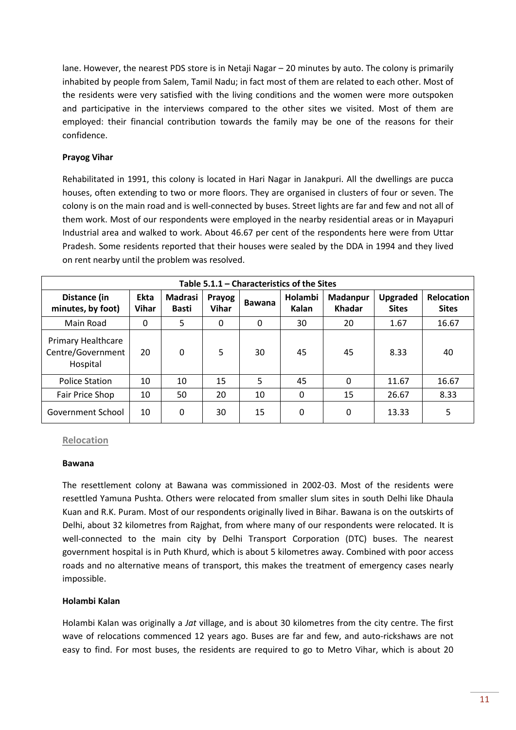lane. However, the nearest PDS store is in Netaji Nagar – 20 minutes by auto. The colony is primarily inhabited by people from Salem, Tamil Nadu; in fact most of them are related to each other. Most of the residents were very satisfied with the living conditions and the women were more outspoken and participative in the interviews compared to the other sites we visited. Most of them are employed: their financial contribution towards the family may be one of the reasons for their confidence.

#### **Prayog Vihar**

Rehabilitated in 1991, this colony is located in Hari Nagar in Janakpuri. All the dwellings are pucca houses, often extending to two or more floors. They are organised in clusters of four or seven. The colony is on the main road and is well-connected by buses. Street lights are far and few and not all of them work. Most of our respondents were employed in the nearby residential areas or in Mayapuri Industrial area and walked to work. About 46.67 per cent of the respondents here were from Uttar Pradesh. Some residents reported that their houses were sealed by the DDA in 1994 and they lived on rent nearby until the problem was resolved.

| Table 5.1.1 – Characteristics of the Sites          |                             |                                |                        |               |                  |                           |                                 |                                   |  |  |  |
|-----------------------------------------------------|-----------------------------|--------------------------------|------------------------|---------------|------------------|---------------------------|---------------------------------|-----------------------------------|--|--|--|
| Distance (in<br>minutes, by foot)                   | <b>Ekta</b><br><b>Vihar</b> | <b>Madrasi</b><br><b>Basti</b> | Prayog<br><b>Vihar</b> | <b>Bawana</b> | Holambi<br>Kalan | Madanpur<br><b>Khadar</b> | <b>Upgraded</b><br><b>Sites</b> | <b>Relocation</b><br><b>Sites</b> |  |  |  |
| Main Road                                           | 0                           | 5                              | 0                      | $\Omega$      | 30               | 20                        | 1.67                            | 16.67                             |  |  |  |
| Primary Healthcare<br>Centre/Government<br>Hospital | 20                          | 0                              | 5                      | 30            | 45               | 45                        | 8.33                            | 40                                |  |  |  |
| <b>Police Station</b>                               | 10                          | 10                             | 15                     | 5             | 45               | 0                         | 11.67                           | 16.67                             |  |  |  |
| Fair Price Shop                                     | 10                          | 50                             | 20                     | 10            | 0                | 15                        | 26.67                           | 8.33                              |  |  |  |
| Government School                                   | 10                          | 0                              | 30                     | 15            | 0                | 0                         | 13.33                           | 5                                 |  |  |  |

#### **Relocation**

#### **Bawana**

The resettlement colony at Bawana was commissioned in 2002-03. Most of the residents were resettled Yamuna Pushta. Others were relocated from smaller slum sites in south Delhi like Dhaula Kuan and R.K. Puram. Most of our respondents originally lived in Bihar. Bawana is on the outskirts of Delhi, about 32 kilometres from Rajghat, from where many of our respondents were relocated. It is well-connected to the main city by Delhi Transport Corporation (DTC) buses. The nearest government hospital is in Puth Khurd, which is about 5 kilometres away. Combined with poor access roads and no alternative means of transport, this makes the treatment of emergency cases nearly impossible.

#### **Holambi Kalan**

Holambi Kalan was originally a *Jat* village, and is about 30 kilometres from the city centre. The first wave of relocations commenced 12 years ago. Buses are far and few, and auto-rickshaws are not easy to find. For most buses, the residents are required to go to Metro Vihar, which is about 20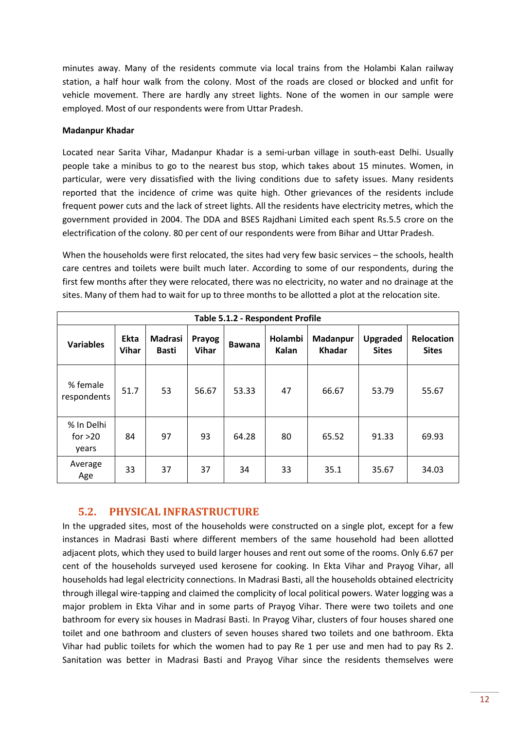minutes away. Many of the residents commute via local trains from the Holambi Kalan railway station, a half hour walk from the colony. Most of the roads are closed or blocked and unfit for vehicle movement. There are hardly any street lights. None of the women in our sample were employed. Most of our respondents were from Uttar Pradesh.

#### **Madanpur Khadar**

Located near Sarita Vihar, Madanpur Khadar is a semi-urban village in south-east Delhi. Usually people take a minibus to go to the nearest bus stop, which takes about 15 minutes. Women, in particular, were very dissatisfied with the living conditions due to safety issues. Many residents reported that the incidence of crime was quite high. Other grievances of the residents include frequent power cuts and the lack of street lights. All the residents have electricity metres, which the government provided in 2004. The DDA and BSES Rajdhani Limited each spent Rs.5.5 crore on the electrification of the colony. 80 per cent of our respondents were from Bihar and Uttar Pradesh.

When the households were first relocated, the sites had very few basic services – the schools, health care centres and toilets were built much later. According to some of our respondents, during the first few months after they were relocated, there was no electricity, no water and no drainage at the sites. Many of them had to wait for up to three months to be allotted a plot at the relocation site.

| Table 5.1.2 - Respondent Profile |                      |                                |                        |               |                  |                           |                                 |                                   |  |  |  |  |
|----------------------------------|----------------------|--------------------------------|------------------------|---------------|------------------|---------------------------|---------------------------------|-----------------------------------|--|--|--|--|
| <b>Variables</b>                 | Ekta<br><b>Vihar</b> | <b>Madrasi</b><br><b>Basti</b> | Prayog<br><b>Vihar</b> | <b>Bawana</b> | Holambi<br>Kalan | Madanpur<br><b>Khadar</b> | <b>Upgraded</b><br><b>Sites</b> | <b>Relocation</b><br><b>Sites</b> |  |  |  |  |
| % female<br>respondents          | 51.7                 | 53                             | 56.67                  | 53.33         | 47               | 66.67                     | 53.79                           | 55.67                             |  |  |  |  |
| % In Delhi<br>for $>20$<br>years | 84                   | 97                             | 93                     | 64.28         | 80               | 65.52                     | 91.33                           | 69.93                             |  |  |  |  |
| Average<br>Age                   | 33                   | 37                             | 37                     | 34            | 33               | 35.1                      | 35.67                           | 34.03                             |  |  |  |  |

## **5.2. PHYSICAL INFRASTRUCTURE**

<span id="page-14-0"></span>In the upgraded sites, most of the households were constructed on a single plot, except for a few instances in Madrasi Basti where different members of the same household had been allotted adjacent plots, which they used to build larger houses and rent out some of the rooms. Only 6.67 per cent of the households surveyed used kerosene for cooking. In Ekta Vihar and Prayog Vihar, all households had legal electricity connections. In Madrasi Basti, all the households obtained electricity through illegal wire-tapping and claimed the complicity of local political powers. Water logging was a major problem in Ekta Vihar and in some parts of Prayog Vihar. There were two toilets and one bathroom for every six houses in Madrasi Basti. In Prayog Vihar, clusters of four houses shared one toilet and one bathroom and clusters of seven houses shared two toilets and one bathroom. Ekta Vihar had public toilets for which the women had to pay Re 1 per use and men had to pay Rs 2. Sanitation was better in Madrasi Basti and Prayog Vihar since the residents themselves were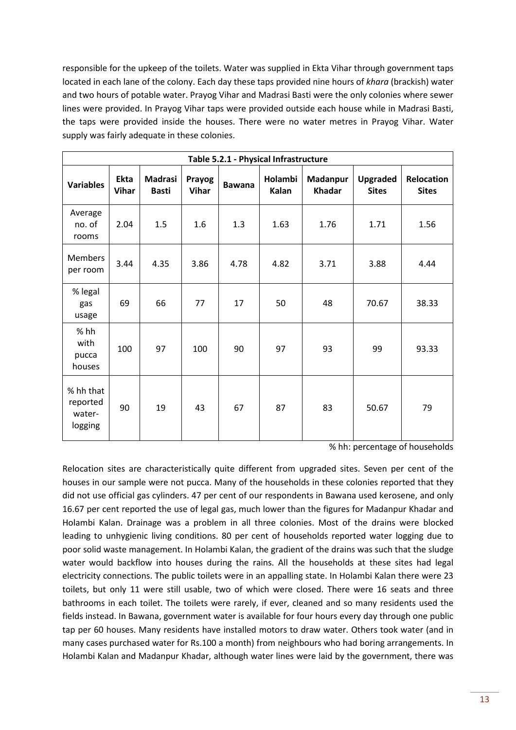responsible for the upkeep of the toilets. Water was supplied in Ekta Vihar through government taps located in each lane of the colony. Each day these taps provided nine hours of *khara* (brackish) water and two hours of potable water. Prayog Vihar and Madrasi Basti were the only colonies where sewer lines were provided. In Prayog Vihar taps were provided outside each house while in Madrasi Basti, the taps were provided inside the houses. There were no water metres in Prayog Vihar. Water supply was fairly adequate in these colonies.

| Table 5.2.1 - Physical Infrastructure      |                             |                                |                        |               |                  |                           |                                 |                                   |  |  |  |  |
|--------------------------------------------|-----------------------------|--------------------------------|------------------------|---------------|------------------|---------------------------|---------------------------------|-----------------------------------|--|--|--|--|
| <b>Variables</b>                           | <b>Ekta</b><br><b>Vihar</b> | <b>Madrasi</b><br><b>Basti</b> | Prayog<br><b>Vihar</b> | <b>Bawana</b> | Holambi<br>Kalan | Madanpur<br><b>Khadar</b> | <b>Upgraded</b><br><b>Sites</b> | <b>Relocation</b><br><b>Sites</b> |  |  |  |  |
| Average<br>no. of<br>rooms                 | 2.04                        | 1.5                            | 1.6                    | 1.3           | 1.63             | 1.76                      | 1.71                            | 1.56                              |  |  |  |  |
| <b>Members</b><br>per room                 | 3.44                        | 4.35                           | 3.86                   | 4.78          | 4.82             | 3.71                      | 3.88                            | 4.44                              |  |  |  |  |
| % legal<br>gas<br>usage                    | 69                          | 66                             | 77                     | 17            | 50               | 48                        | 70.67                           | 38.33                             |  |  |  |  |
| % hh<br>with<br>pucca<br>houses            | 100                         | 97                             | 100                    | 90            | 97               | 93                        | 99                              | 93.33                             |  |  |  |  |
| % hh that<br>reported<br>water-<br>logging | 90                          | 19                             | 43                     | 67            | 87               | 83                        | 50.67                           | 79                                |  |  |  |  |

% hh: percentage of households

Relocation sites are characteristically quite different from upgraded sites. Seven per cent of the houses in our sample were not pucca. Many of the households in these colonies reported that they did not use official gas cylinders. 47 per cent of our respondents in Bawana used kerosene, and only 16.67 per cent reported the use of legal gas, much lower than the figures for Madanpur Khadar and Holambi Kalan. Drainage was a problem in all three colonies. Most of the drains were blocked leading to unhygienic living conditions. 80 per cent of households reported water logging due to poor solid waste management. In Holambi Kalan, the gradient of the drains was such that the sludge water would backflow into houses during the rains. All the households at these sites had legal electricity connections. The public toilets were in an appalling state. In Holambi Kalan there were 23 toilets, but only 11 were still usable, two of which were closed. There were 16 seats and three bathrooms in each toilet. The toilets were rarely, if ever, cleaned and so many residents used the fields instead. In Bawana, government water is available for four hours every day through one public tap per 60 houses. Many residents have installed motors to draw water. Others took water (and in many cases purchased water for Rs.100 a month) from neighbours who had boring arrangements. In Holambi Kalan and Madanpur Khadar, although water lines were laid by the government, there was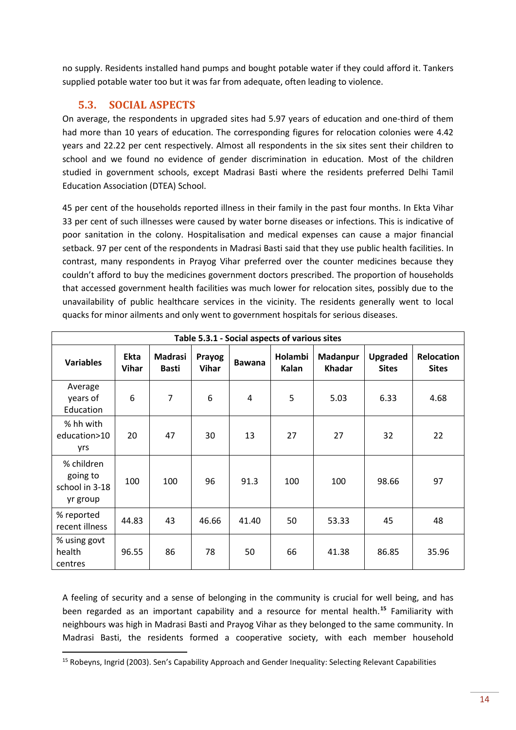no supply. Residents installed hand pumps and bought potable water if they could afford it. Tankers supplied potable water too but it was far from adequate, often leading to violence.

# **5.3. SOCIAL ASPECTS**

<span id="page-16-0"></span>On average, the respondents in upgraded sites had 5.97 years of education and one-third of them had more than 10 years of education. The corresponding figures for relocation colonies were 4.42 years and 22.22 per cent respectively. Almost all respondents in the six sites sent their children to school and we found no evidence of gender discrimination in education. Most of the children studied in government schools, except Madrasi Basti where the residents preferred Delhi Tamil Education Association (DTEA) School.

45 per cent of the households reported illness in their family in the past four months. In Ekta Vihar 33 per cent of such illnesses were caused by water borne diseases or infections. This is indicative of poor sanitation in the colony. Hospitalisation and medical expenses can cause a major financial setback. 97 per cent of the respondents in Madrasi Basti said that they use public health facilities. In contrast, many respondents in Prayog Vihar preferred over the counter medicines because they couldn't afford to buy the medicines government doctors prescribed. The proportion of households that accessed government health facilities was much lower for relocation sites, possibly due to the unavailability of public healthcare services in the vicinity. The residents generally went to local quacks for minor ailments and only went to government hospitals for serious diseases.

| Table 5.3.1 - Social aspects of various sites        |                      |                                |                        |               |                  |                           |                          |                                   |  |  |  |  |
|------------------------------------------------------|----------------------|--------------------------------|------------------------|---------------|------------------|---------------------------|--------------------------|-----------------------------------|--|--|--|--|
| <b>Variables</b>                                     | Ekta<br><b>Vihar</b> | <b>Madrasi</b><br><b>Basti</b> | Prayog<br><b>Vihar</b> | <b>Bawana</b> | Holambi<br>Kalan | Madanpur<br><b>Khadar</b> | Upgraded<br><b>Sites</b> | <b>Relocation</b><br><b>Sites</b> |  |  |  |  |
| Average<br>years of<br>Education                     | 6                    | $\overline{7}$                 | 6                      | 4             | 5                | 5.03                      | 6.33                     | 4.68                              |  |  |  |  |
| % hh with<br>education>10<br>yrs                     | 20                   | 47                             | 30                     | 13            | 27               | 27                        | 32                       | 22                                |  |  |  |  |
| % children<br>going to<br>school in 3-18<br>yr group | 100                  | 100                            | 96                     | 91.3          | 100              | 100                       | 98.66                    | 97                                |  |  |  |  |
| % reported<br>recent illness                         | 44.83                | 43                             | 46.66                  | 41.40         | 50               | 53.33                     | 45                       | 48                                |  |  |  |  |
| % using govt<br>health<br>centres                    | 96.55                | 86                             | 78                     | 50            | 66               | 41.38                     | 86.85                    | 35.96                             |  |  |  |  |

A feeling of security and a sense of belonging in the community is crucial for well being, and has been regarded as an important capability and a resource for mental health.**[15](#page-16-1)** Familiarity with neighbours was high in Madrasi Basti and Prayog Vihar as they belonged to the same community. In Madrasi Basti, the residents formed a cooperative society, with each member household

<span id="page-16-1"></span> <sup>15</sup> Robeyns, Ingrid (2003). Sen's Capability Approach and Gender Inequality: Selecting Relevant Capabilities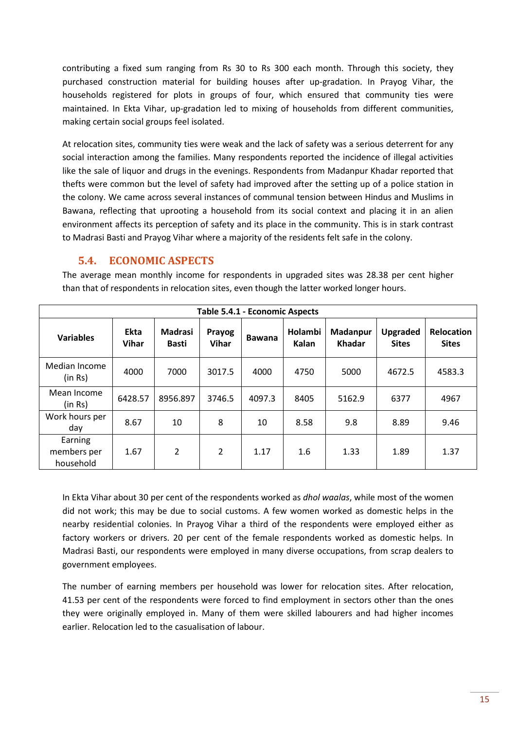contributing a fixed sum ranging from Rs 30 to Rs 300 each month. Through this society, they purchased construction material for building houses after up-gradation. In Prayog Vihar, the households registered for plots in groups of four, which ensured that community ties were maintained. In Ekta Vihar, up-gradation led to mixing of households from different communities, making certain social groups feel isolated.

At relocation sites, community ties were weak and the lack of safety was a serious deterrent for any social interaction among the families. Many respondents reported the incidence of illegal activities like the sale of liquor and drugs in the evenings. Respondents from Madanpur Khadar reported that thefts were common but the level of safety had improved after the setting up of a police station in the colony. We came across several instances of communal tension between Hindus and Muslims in Bawana, reflecting that uprooting a household from its social context and placing it in an alien environment affects its perception of safety and its place in the community. This is in stark contrast to Madrasi Basti and Prayog Vihar where a majority of the residents felt safe in the colony.

## **5.4. ECONOMIC ASPECTS**

<span id="page-17-0"></span>The average mean monthly income for respondents in upgraded sites was 28.38 per cent higher than that of respondents in relocation sites, even though the latter worked longer hours.

| Table 5.4.1 - Economic Aspects      |                      |                                |                        |               |                  |                           |                                 |                            |  |  |  |  |
|-------------------------------------|----------------------|--------------------------------|------------------------|---------------|------------------|---------------------------|---------------------------------|----------------------------|--|--|--|--|
| <b>Variables</b>                    | Ekta<br><b>Vihar</b> | <b>Madrasi</b><br><b>Basti</b> | Prayog<br><b>Vihar</b> | <b>Bawana</b> | Holambi<br>Kalan | Madanpur<br><b>Khadar</b> | <b>Upgraded</b><br><b>Sites</b> | Relocation<br><b>Sites</b> |  |  |  |  |
| Median Income<br>(in Rs)            | 4000                 | 7000                           | 3017.5                 | 4000          | 4750             | 5000                      | 4672.5                          | 4583.3                     |  |  |  |  |
| Mean Income<br>(in Rs)              | 6428.57              | 8956.897                       | 3746.5                 | 4097.3        | 8405             | 5162.9                    | 6377                            | 4967                       |  |  |  |  |
| Work hours per<br>day               | 8.67                 | 10                             | 8                      | 10            | 8.58             | 9.8                       | 8.89                            | 9.46                       |  |  |  |  |
| Earning<br>members per<br>household | 1.67                 | $\overline{2}$                 | $\overline{2}$         | 1.17          | 1.6              | 1.33                      | 1.89                            | 1.37                       |  |  |  |  |

In Ekta Vihar about 30 per cent of the respondents worked as *dhol waalas*, while most of the women did not work; this may be due to social customs. A few women worked as domestic helps in the nearby residential colonies. In Prayog Vihar a third of the respondents were employed either as factory workers or drivers. 20 per cent of the female respondents worked as domestic helps. In Madrasi Basti, our respondents were employed in many diverse occupations, from scrap dealers to government employees.

The number of earning members per household was lower for relocation sites. After relocation, 41.53 per cent of the respondents were forced to find employment in sectors other than the ones they were originally employed in. Many of them were skilled labourers and had higher incomes earlier. Relocation led to the casualisation of labour.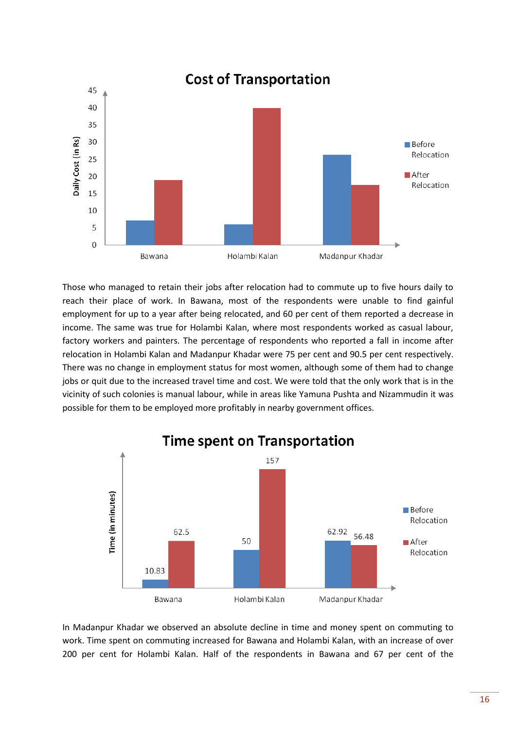

Those who managed to retain their jobs after relocation had to commute up to five hours daily to reach their place of work. In Bawana, most of the respondents were unable to find gainful employment for up to a year after being relocated, and 60 per cent of them reported a decrease in income. The same was true for Holambi Kalan, where most respondents worked as casual labour, factory workers and painters. The percentage of respondents who reported a fall in income after relocation in Holambi Kalan and Madanpur Khadar were 75 per cent and 90.5 per cent respectively. There was no change in employment status for most women, although some of them had to change jobs or quit due to the increased travel time and cost. We were told that the only work that is in the vicinity of such colonies is manual labour, while in areas like Yamuna Pushta and Nizammudin it was possible for them to be employed more profitably in nearby government offices.



In Madanpur Khadar we observed an absolute decline in time and money spent on commuting to work. Time spent on commuting increased for Bawana and Holambi Kalan, with an increase of over 200 per cent for Holambi Kalan. Half of the respondents in Bawana and 67 per cent of the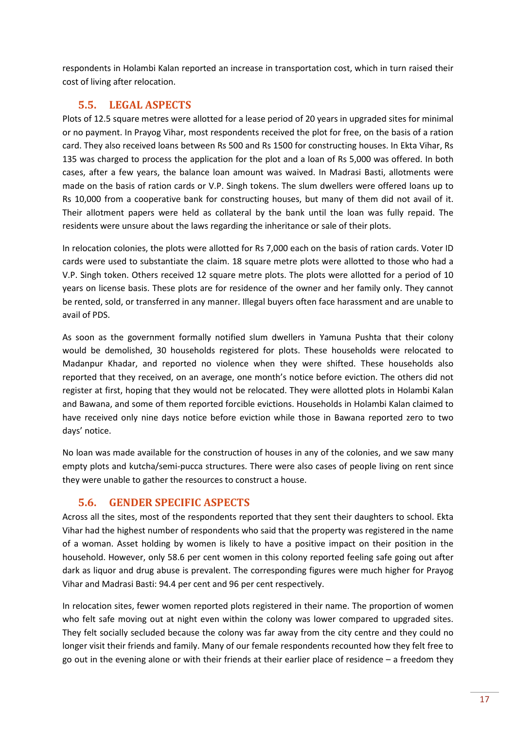respondents in Holambi Kalan reported an increase in transportation cost, which in turn raised their cost of living after relocation.

# <span id="page-19-0"></span>**5.5. LEGAL ASPECTS**

Plots of 12.5 square metres were allotted for a lease period of 20 years in upgraded sites for minimal or no payment. In Prayog Vihar, most respondents received the plot for free, on the basis of a ration card. They also received loans between Rs 500 and Rs 1500 for constructing houses. In Ekta Vihar, Rs 135 was charged to process the application for the plot and a loan of Rs 5,000 was offered. In both cases, after a few years, the balance loan amount was waived. In Madrasi Basti, allotments were made on the basis of ration cards or V.P. Singh tokens. The slum dwellers were offered loans up to Rs 10,000 from a cooperative bank for constructing houses, but many of them did not avail of it. Their allotment papers were held as collateral by the bank until the loan was fully repaid. The residents were unsure about the laws regarding the inheritance or sale of their plots.

In relocation colonies, the plots were allotted for Rs 7,000 each on the basis of ration cards. Voter ID cards were used to substantiate the claim. 18 square metre plots were allotted to those who had a V.P. Singh token. Others received 12 square metre plots. The plots were allotted for a period of 10 years on license basis. These plots are for residence of the owner and her family only. They cannot be rented, sold, or transferred in any manner. Illegal buyers often face harassment and are unable to avail of PDS.

As soon as the government formally notified slum dwellers in Yamuna Pushta that their colony would be demolished, 30 households registered for plots. These households were relocated to Madanpur Khadar, and reported no violence when they were shifted. These households also reported that they received, on an average, one month's notice before eviction. The others did not register at first, hoping that they would not be relocated. They were allotted plots in Holambi Kalan and Bawana, and some of them reported forcible evictions. Households in Holambi Kalan claimed to have received only nine days notice before eviction while those in Bawana reported zero to two days' notice.

No loan was made available for the construction of houses in any of the colonies, and we saw many empty plots and kutcha/semi-pucca structures. There were also cases of people living on rent since they were unable to gather the resources to construct a house.

## **5.6. GENDER SPECIFIC ASPECTS**

<span id="page-19-1"></span>Across all the sites, most of the respondents reported that they sent their daughters to school. Ekta Vihar had the highest number of respondents who said that the property was registered in the name of a woman. Asset holding by women is likely to have a positive impact on their position in the household. However, only 58.6 per cent women in this colony reported feeling safe going out after dark as liquor and drug abuse is prevalent. The corresponding figures were much higher for Prayog Vihar and Madrasi Basti: 94.4 per cent and 96 per cent respectively.

In relocation sites, fewer women reported plots registered in their name. The proportion of women who felt safe moving out at night even within the colony was lower compared to upgraded sites. They felt socially secluded because the colony was far away from the city centre and they could no longer visit their friends and family. Many of our female respondents recounted how they felt free to go out in the evening alone or with their friends at their earlier place of residence – a freedom they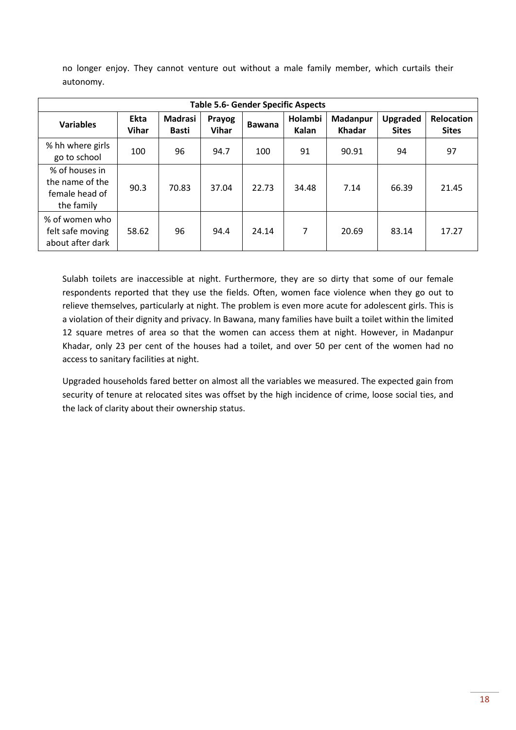no longer enjoy. They cannot venture out without a male family member, which curtails their autonomy.

| <b>Table 5.6- Gender Specific Aspects</b>                         |                             |                                |                        |               |                  |                           |                                 |                                   |  |  |
|-------------------------------------------------------------------|-----------------------------|--------------------------------|------------------------|---------------|------------------|---------------------------|---------------------------------|-----------------------------------|--|--|
| <b>Variables</b>                                                  | <b>Ekta</b><br><b>Vihar</b> | <b>Madrasi</b><br><b>Basti</b> | Prayog<br><b>Vihar</b> | <b>Bawana</b> | Holambi<br>Kalan | Madanpur<br><b>Khadar</b> | <b>Upgraded</b><br><b>Sites</b> | <b>Relocation</b><br><b>Sites</b> |  |  |
| % hh where girls<br>go to school                                  | 100                         | 96                             | 94.7                   | 100           | 91               | 90.91                     | 94                              | 97                                |  |  |
| % of houses in<br>the name of the<br>female head of<br>the family | 90.3                        | 70.83                          | 37.04                  | 22.73         | 34.48            | 7.14                      | 66.39                           | 21.45                             |  |  |
| % of women who<br>felt safe moving<br>about after dark            | 58.62                       | 96                             | 94.4                   | 24.14         | 7                | 20.69                     | 83.14                           | 17.27                             |  |  |

Sulabh toilets are inaccessible at night. Furthermore, they are so dirty that some of our female respondents reported that they use the fields. Often, women face violence when they go out to relieve themselves, particularly at night. The problem is even more acute for adolescent girls. This is a violation of their dignity and privacy. In Bawana, many families have built a toilet within the limited 12 square metres of area so that the women can access them at night. However, in Madanpur Khadar, only 23 per cent of the houses had a toilet, and over 50 per cent of the women had no access to sanitary facilities at night.

Upgraded households fared better on almost all the variables we measured. The expected gain from security of tenure at relocated sites was offset by the high incidence of crime, loose social ties, and the lack of clarity about their ownership status.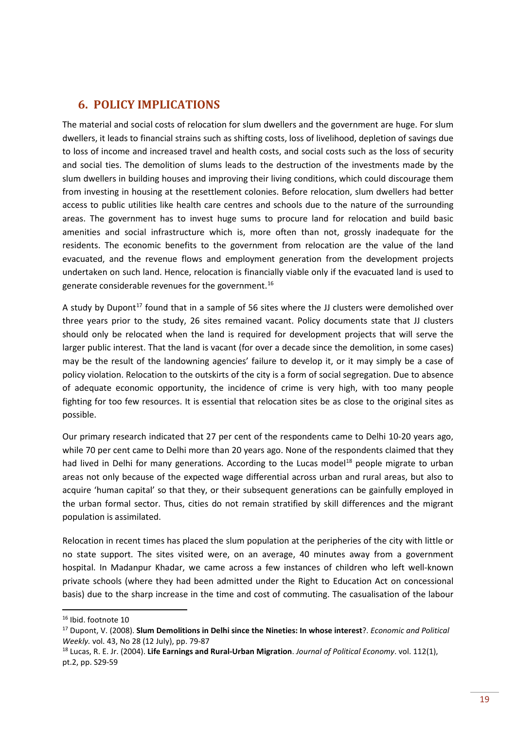# <span id="page-21-0"></span>**6. POLICY IMPLICATIONS**

The material and social costs of relocation for slum dwellers and the government are huge. For slum dwellers, it leads to financial strains such as shifting costs, loss of livelihood, depletion of savings due to loss of income and increased travel and health costs, and social costs such as the loss of security and social ties. The demolition of slums leads to the destruction of the investments made by the slum dwellers in building houses and improving their living conditions, which could discourage them from investing in housing at the resettlement colonies. Before relocation, slum dwellers had better access to public utilities like health care centres and schools due to the nature of the surrounding areas. The government has to invest huge sums to procure land for relocation and build basic amenities and social infrastructure which is, more often than not, grossly inadequate for the residents. The economic benefits to the government from relocation are the value of the land evacuated, and the revenue flows and employment generation from the development projects undertaken on such land. Hence, relocation is financially viable only if the evacuated land is used to generate considerable revenues for the government.[16](#page-21-1)

A study by Dupont<sup>[17](#page-21-2)</sup> found that in a sample of 56 sites where the JJ clusters were demolished over three years prior to the study, 26 sites remained vacant. Policy documents state that JJ clusters should only be relocated when the land is required for development projects that will serve the larger public interest. That the land is vacant (for over a decade since the demolition, in some cases) may be the result of the landowning agencies' failure to develop it, or it may simply be a case of policy violation. Relocation to the outskirts of the city is a form of social segregation. Due to absence of adequate economic opportunity, the incidence of crime is very high, with too many people fighting for too few resources. It is essential that relocation sites be as close to the original sites as possible.

Our primary research indicated that 27 per cent of the respondents came to Delhi 10-20 years ago, while 70 per cent came to Delhi more than 20 years ago. None of the respondents claimed that they had lived in Delhi for many generations. According to the Lucas model<sup>18</sup> people migrate to urban areas not only because of the expected wage differential across urban and rural areas, but also to acquire 'human capital' so that they, or their subsequent generations can be gainfully employed in the urban formal sector. Thus, cities do not remain stratified by skill differences and the migrant population is assimilated.

Relocation in recent times has placed the slum population at the peripheries of the city with little or no state support. The sites visited were, on an average, 40 minutes away from a government hospital. In Madanpur Khadar, we came across a few instances of children who left well-known private schools (where they had been admitted under the Right to Education Act on concessional basis) due to the sharp increase in the time and cost of commuting. The casualisation of the labour

<span id="page-21-1"></span><sup>&</sup>lt;sup>16</sup> Ibid. footnote 10

<span id="page-21-2"></span><sup>17</sup> Dupont, V. (2008). **Slum Demolitions in Delhi since the Nineties: In whose interest**?. *Economic and Political Weekly.* vol. 43, No 28 (12 July), pp. 79-87

<span id="page-21-3"></span><sup>18</sup> Lucas, R. E. Jr. (2004). **Life Earnings and Rural-Urban Migration**. *Journal of Political Economy*. vol. 112(1), pt.2, pp. S29-59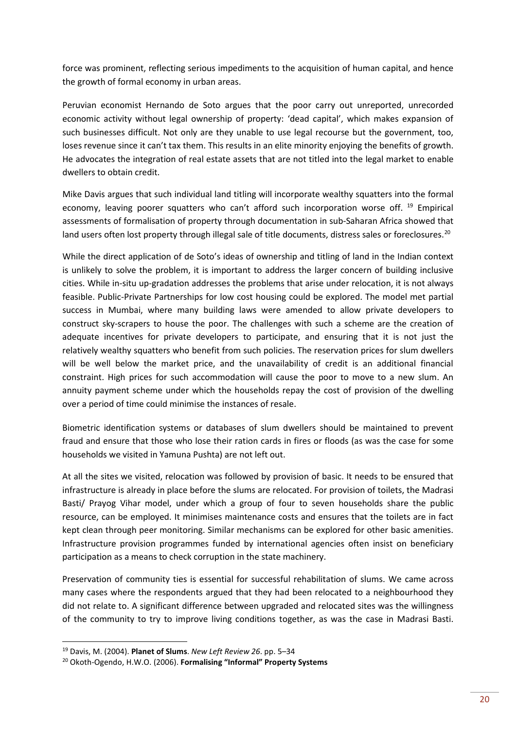force was prominent, reflecting serious impediments to the acquisition of human capital, and hence the growth of formal economy in urban areas.

Peruvian economist Hernando de Soto argues that the poor carry out unreported, unrecorded economic activity without legal ownership of property: 'dead capital', which makes expansion of such businesses difficult. Not only are they unable to use legal recourse but the government, too, loses revenue since it can't tax them. This results in an elite minority enjoying the benefits of growth. He advocates the integration of real estate assets that are not titled into the legal market to enable dwellers to obtain credit.

Mike Davis argues that such individual land titling will incorporate wealthy squatters into the formal economy, leaving poorer squatters who can't afford such incorporation worse off. <sup>[19](#page-22-0)</sup> Empirical assessments of formalisation of property through documentation in sub-Saharan Africa showed that land users often lost property through illegal sale of title documents, distress sales or foreclosures.<sup>[20](#page-22-1)</sup>

While the direct application of de Soto's ideas of ownership and titling of land in the Indian context is unlikely to solve the problem, it is important to address the larger concern of building inclusive cities. While in-situ up-gradation addresses the problems that arise under relocation, it is not always feasible. Public-Private Partnerships for low cost housing could be explored. The model met partial success in Mumbai, where many building laws were amended to allow private developers to construct sky-scrapers to house the poor. The challenges with such a scheme are the creation of adequate incentives for private developers to participate, and ensuring that it is not just the relatively wealthy squatters who benefit from such policies. The reservation prices for slum dwellers will be well below the market price, and the unavailability of credit is an additional financial constraint. High prices for such accommodation will cause the poor to move to a new slum. An annuity payment scheme under which the households repay the cost of provision of the dwelling over a period of time could minimise the instances of resale.

Biometric identification systems or databases of slum dwellers should be maintained to prevent fraud and ensure that those who lose their ration cards in fires or floods (as was the case for some households we visited in Yamuna Pushta) are not left out.

At all the sites we visited, relocation was followed by provision of basic. It needs to be ensured that infrastructure is already in place before the slums are relocated. For provision of toilets, the Madrasi Basti/ Prayog Vihar model, under which a group of four to seven households share the public resource, can be employed. It minimises maintenance costs and ensures that the toilets are in fact kept clean through peer monitoring. Similar mechanisms can be explored for other basic amenities. Infrastructure provision programmes funded by international agencies often insist on beneficiary participation as a means to check corruption in the state machinery.

Preservation of community ties is essential for successful rehabilitation of slums. We came across many cases where the respondents argued that they had been relocated to a neighbourhood they did not relate to. A significant difference between upgraded and relocated sites was the willingness of the community to try to improve living conditions together, as was the case in Madrasi Basti.

<span id="page-22-0"></span> <sup>19</sup> Davis, M. (2004). **Planet of Slums**. *New Left Review 26*. pp. 5–34

<span id="page-22-1"></span><sup>20</sup> Okoth-Ogendo, H.W.O. (2006). **Formalising "Informal" Property Systems**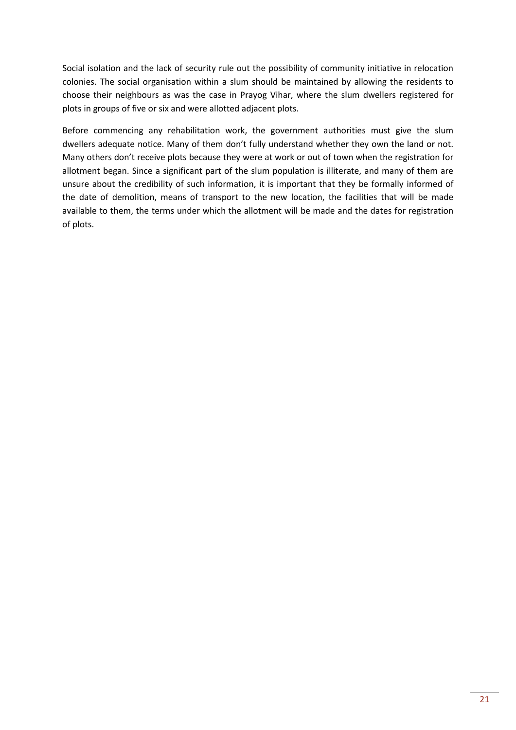Social isolation and the lack of security rule out the possibility of community initiative in relocation colonies. The social organisation within a slum should be maintained by allowing the residents to choose their neighbours as was the case in Prayog Vihar, where the slum dwellers registered for plots in groups of five or six and were allotted adjacent plots.

Before commencing any rehabilitation work, the government authorities must give the slum dwellers adequate notice. Many of them don't fully understand whether they own the land or not. Many others don't receive plots because they were at work or out of town when the registration for allotment began. Since a significant part of the slum population is illiterate, and many of them are unsure about the credibility of such information, it is important that they be formally informed of the date of demolition, means of transport to the new location, the facilities that will be made available to them, the terms under which the allotment will be made and the dates for registration of plots.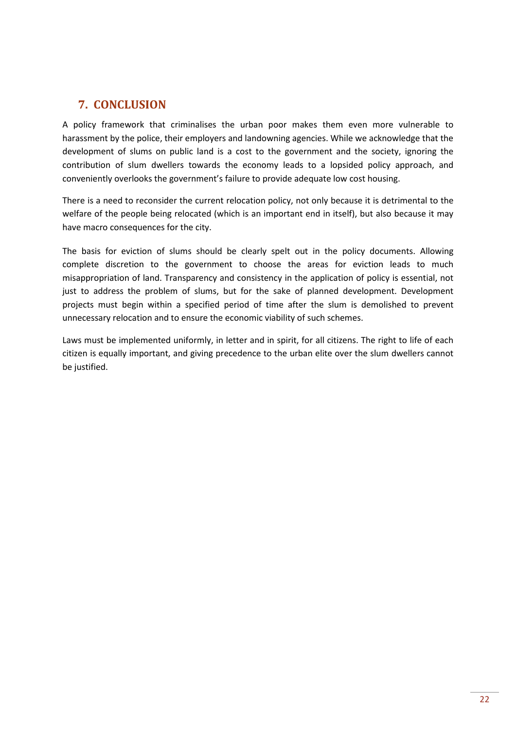# <span id="page-24-0"></span>**7. CONCLUSION**

A policy framework that criminalises the urban poor makes them even more vulnerable to harassment by the police, their employers and landowning agencies. While we acknowledge that the development of slums on public land is a cost to the government and the society, ignoring the contribution of slum dwellers towards the economy leads to a lopsided policy approach, and conveniently overlooks the government's failure to provide adequate low cost housing.

There is a need to reconsider the current relocation policy, not only because it is detrimental to the welfare of the people being relocated (which is an important end in itself), but also because it may have macro consequences for the city.

The basis for eviction of slums should be clearly spelt out in the policy documents. Allowing complete discretion to the government to choose the areas for eviction leads to much misappropriation of land. Transparency and consistency in the application of policy is essential, not just to address the problem of slums, but for the sake of planned development. Development projects must begin within a specified period of time after the slum is demolished to prevent unnecessary relocation and to ensure the economic viability of such schemes.

Laws must be implemented uniformly, in letter and in spirit, for all citizens. The right to life of each citizen is equally important, and giving precedence to the urban elite over the slum dwellers cannot be justified.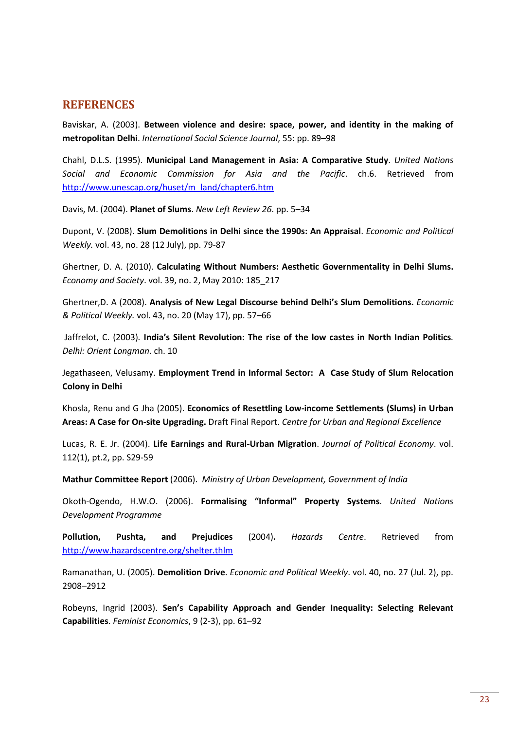### <span id="page-25-0"></span>**REFERENCES**

Baviskar, A. (2003). **Between violence and desire: space, power, and identity in the making of metropolitan Delhi**. *International Social Science Journal*, 55: pp. 89–98

Chahl, D.L.S. (1995). **Municipal Land Management in Asia: A Comparative Study**. *United Nations Social and Economic Commission for Asia and the Pacific*. ch.6. Retrieved from [http://www.unescap.org/huset/m\\_land/chapter6.htm](http://www.unescap.org/huset/m_land/chapter6.htm)

Davis, M. (2004). **Planet of Slums**. *New Left Review 26*. pp. 5–34

Dupont, V. (2008). **Slum Demolitions in Delhi since the 1990s: An Appraisal**. *Economic and Political Weekly.* vol. 43, no. 28 (12 July), pp. 79-87

Ghertner, D. A. (2010). **Calculating Without Numbers: Aesthetic Governmentality in Delhi Slums.** *Economy and Society*. vol. 39, no. 2, May 2010: 185\_217

Ghertner,D. A (2008). **Analysis of New Legal Discourse behind Delhi's Slum Demolitions.** *Economic & Political Weekly.* vol. 43, no. 20 (May 17), pp. 57–66

Jaffrelot, C. (2003)*.* **India's Silent Revolution: The rise of the low castes in North Indian Politics***. Delhi: Orient Longman*. ch. 10

Jegathaseen, Velusamy. **Employment Trend in Informal Sector: A Case Study of Slum Relocation Colony in Delhi**

Khosla, Renu and G Jha (2005). **Economics of Resettling Low-income Settlements (Slums) in Urban Areas: A Case for On-site Upgrading.** Draft Final Report. *Centre for Urban and Regional Excellence*

Lucas, R. E. Jr. (2004). **Life Earnings and Rural-Urban Migration**. *Journal of Political Economy*. vol. 112(1), pt.2, pp. S29-59

**Mathur Committee Report** (2006). *Ministry of Urban Development, Government of India*

Okoth-Ogendo, H.W.O. (2006). **Formalising "Informal" Property Systems**. *United Nations Development Programme*

**Pollution, Pushta, and Prejudices** (2004)**.** *Hazards Centre*. Retrieved from <http://www.hazardscentre.org/shelter.thlm>

Ramanathan, U. (2005). **Demolition Drive**. *Economic and Political Weekly*. vol. 40, no. 27 (Jul. 2), pp. 2908–2912

Robeyns, Ingrid (2003). **Sen's Capability Approach and Gender Inequality: Selecting Relevant Capabilities**. *Feminist Economics*, 9 (2-3), pp. 61–92